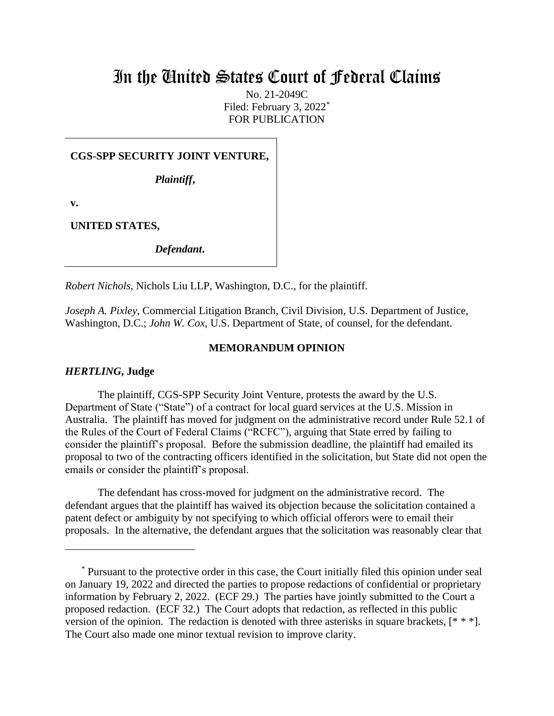# In the United States Court of Federal Claims

No. 21-2049C Filed: February 3, 2022<sup>\*</sup> FOR PUBLICATION

**CGS-SPP SECURITY JOINT VENTURE,**

*Plaintiff***,**

**v.**

**UNITED STATES,**

*Defendant***.**

*Robert Nichols*, Nichols Liu LLP, Washington, D.C., for the plaintiff.

*Joseph A. Pixley*, Commercial Litigation Branch, Civil Division, U.S. Department of Justice, Washington, D.C.; *John W. Cox*, U.S. Department of State, of counsel, for the defendant.

## **MEMORANDUM OPINION**

## *HERTLING***, Judge**

The plaintiff, CGS-SPP Security Joint Venture, protests the award by the U.S. Department of State ("State") of a contract for local guard services at the U.S. Mission in Australia. The plaintiff has moved for judgment on the administrative record under Rule 52.1 of the Rules of the Court of Federal Claims ("RCFC"), arguing that State erred by failing to consider the plaintiff's proposal. Before the submission deadline, the plaintiff had emailed its proposal to two of the contracting officers identified in the solicitation, but State did not open the emails or consider the plaintiff's proposal.

The defendant has cross-moved for judgment on the administrative record. The defendant argues that the plaintiff has waived its objection because the solicitation contained a patent defect or ambiguity by not specifying to which official offerors were to email their proposals. In the alternative, the defendant argues that the solicitation was reasonably clear that

<sup>\*</sup> Pursuant to the protective order in this case, the Court initially filed this opinion under seal on January 19, 2022 and directed the parties to propose redactions of confidential or proprietary information by February 2, 2022. (ECF 29.) The parties have jointly submitted to the Court a proposed redaction. (ECF 32.) The Court adopts that redaction, as reflected in this public version of the opinion. The redaction is denoted with three asterisks in square brackets, [\* \* \*]. The Court also made one minor textual revision to improve clarity.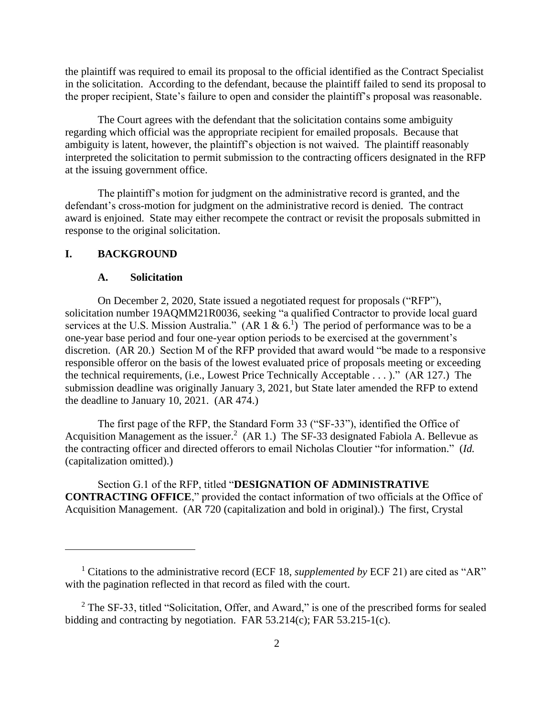the plaintiff was required to email its proposal to the official identified as the Contract Specialist in the solicitation. According to the defendant, because the plaintiff failed to send its proposal to the proper recipient, State's failure to open and consider the plaintiff's proposal was reasonable.

The Court agrees with the defendant that the solicitation contains some ambiguity regarding which official was the appropriate recipient for emailed proposals. Because that ambiguity is latent, however, the plaintiff's objection is not waived. The plaintiff reasonably interpreted the solicitation to permit submission to the contracting officers designated in the RFP at the issuing government office.

The plaintiff's motion for judgment on the administrative record is granted, and the defendant's cross-motion for judgment on the administrative record is denied. The contract award is enjoined. State may either recompete the contract or revisit the proposals submitted in response to the original solicitation.

# **I. BACKGROUND**

### **A. Solicitation**

On December 2, 2020, State issued a negotiated request for proposals ("RFP"), solicitation number 19AQMM21R0036, seeking "a qualified Contractor to provide local guard services at the U.S. Mission Australia." (AR 1 & 6.<sup>1</sup>) The period of performance was to be a one-year base period and four one-year option periods to be exercised at the government's discretion. (AR 20.) Section M of the RFP provided that award would "be made to a responsive responsible offeror on the basis of the lowest evaluated price of proposals meeting or exceeding the technical requirements, (i.e., Lowest Price Technically Acceptable . . . )." (AR 127.) The submission deadline was originally January 3, 2021, but State later amended the RFP to extend the deadline to January 10, 2021. (AR 474.)

The first page of the RFP, the Standard Form 33 ("SF-33"), identified the Office of Acquisition Management as the issuer.<sup>2</sup> (AR 1.) The SF-33 designated Fabiola A. Bellevue as the contracting officer and directed offerors to email Nicholas Cloutier "for information." (*Id.* (capitalization omitted).)

Section G.1 of the RFP, titled "**DESIGNATION OF ADMINISTRATIVE CONTRACTING OFFICE**," provided the contact information of two officials at the Office of Acquisition Management. (AR 720 (capitalization and bold in original).) The first, Crystal

<sup>1</sup> Citations to the administrative record (ECF 18, *supplemented by* ECF 21) are cited as "AR" with the pagination reflected in that record as filed with the court.

 $2$  The SF-33, titled "Solicitation, Offer, and Award," is one of the prescribed forms for sealed bidding and contracting by negotiation. FAR  $53.214(c)$ ; FAR  $53.215-1(c)$ .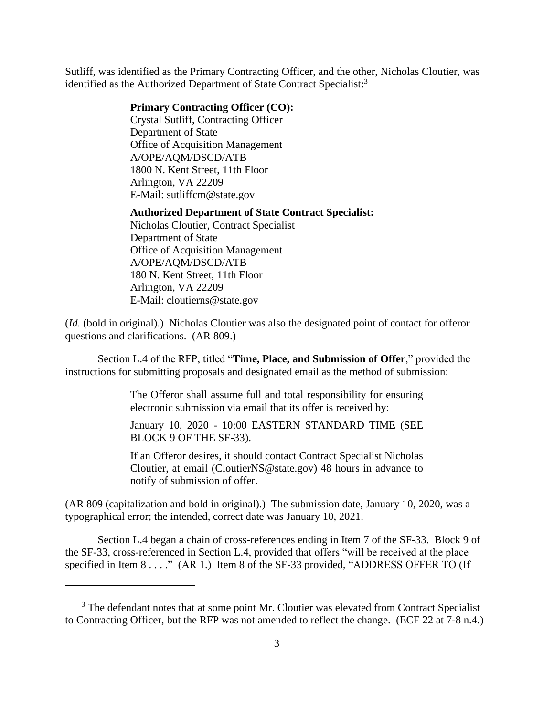Sutliff, was identified as the Primary Contracting Officer, and the other, Nicholas Cloutier, was identified as the Authorized Department of State Contract Specialist:<sup>3</sup>

#### **Primary Contracting Officer (CO):**

Crystal Sutliff, Contracting Officer Department of State Office of Acquisition Management A/OPE/AQM/DSCD/ATB 1800 N. Kent Street, 11th Floor Arlington, VA 22209 E-Mail: sutliffcm@state.gov

#### **Authorized Department of State Contract Specialist:**

Nicholas Cloutier, Contract Specialist Department of State Office of Acquisition Management A/OPE/AQM/DSCD/ATB 180 N. Kent Street, 11th Floor Arlington, VA 22209 E-Mail: cloutierns@state.gov

(*Id.* (bold in original).) Nicholas Cloutier was also the designated point of contact for offeror questions and clarifications. (AR 809.)

Section L.4 of the RFP, titled "**Time, Place, and Submission of Offer**," provided the instructions for submitting proposals and designated email as the method of submission:

> The Offeror shall assume full and total responsibility for ensuring electronic submission via email that its offer is received by:

> January 10, 2020 - 10:00 EASTERN STANDARD TIME (SEE BLOCK 9 OF THE SF-33).

> If an Offeror desires, it should contact Contract Specialist Nicholas Cloutier, at email (CloutierNS@state.gov) 48 hours in advance to notify of submission of offer.

(AR 809 (capitalization and bold in original).) The submission date, January 10, 2020, was a typographical error; the intended, correct date was January 10, 2021.

Section L.4 began a chain of cross-references ending in Item 7 of the SF-33. Block 9 of the SF-33, cross-referenced in Section L.4, provided that offers "will be received at the place specified in Item 8 . . . ." (AR 1.) Item 8 of the SF-33 provided, "ADDRESS OFFER TO (If

<sup>&</sup>lt;sup>3</sup> The defendant notes that at some point Mr. Cloutier was elevated from Contract Specialist to Contracting Officer, but the RFP was not amended to reflect the change. (ECF 22 at 7-8 n.4.)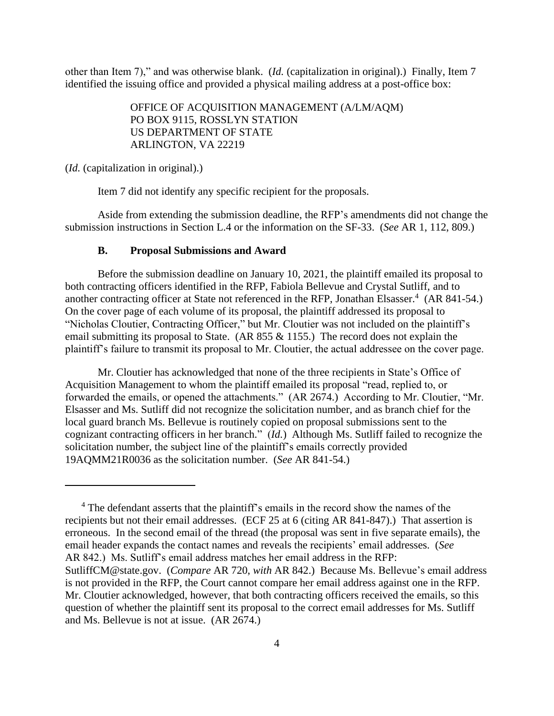other than Item 7)," and was otherwise blank. (*Id.* (capitalization in original).) Finally, Item 7 identified the issuing office and provided a physical mailing address at a post-office box:

> OFFICE OF ACQUISITION MANAGEMENT (A/LM/AQM) PO BOX 9115, ROSSLYN STATION US DEPARTMENT OF STATE ARLINGTON, VA 22219

(*Id.* (capitalization in original).)

Item 7 did not identify any specific recipient for the proposals.

Aside from extending the submission deadline, the RFP's amendments did not change the submission instructions in Section L.4 or the information on the SF-33. (*See* AR 1, 112, 809.)

## **B. Proposal Submissions and Award**

Before the submission deadline on January 10, 2021, the plaintiff emailed its proposal to both contracting officers identified in the RFP, Fabiola Bellevue and Crystal Sutliff, and to another contracting officer at State not referenced in the RFP, Jonathan Elsasser.<sup>4</sup> (AR 841-54.) On the cover page of each volume of its proposal, the plaintiff addressed its proposal to "Nicholas Cloutier, Contracting Officer," but Mr. Cloutier was not included on the plaintiff's email submitting its proposal to State. (AR 855  $&$  1155.) The record does not explain the plaintiff's failure to transmit its proposal to Mr. Cloutier, the actual addressee on the cover page.

Mr. Cloutier has acknowledged that none of the three recipients in State's Office of Acquisition Management to whom the plaintiff emailed its proposal "read, replied to, or forwarded the emails, or opened the attachments." (AR 2674.) According to Mr. Cloutier, "Mr. Elsasser and Ms. Sutliff did not recognize the solicitation number, and as branch chief for the local guard branch Ms. Bellevue is routinely copied on proposal submissions sent to the cognizant contracting officers in her branch." (*Id.*) Although Ms. Sutliff failed to recognize the solicitation number, the subject line of the plaintiff's emails correctly provided 19AQMM21R0036 as the solicitation number. (*See* AR 841-54.)

<sup>&</sup>lt;sup>4</sup> The defendant asserts that the plaintiff's emails in the record show the names of the recipients but not their email addresses. (ECF 25 at 6 (citing AR 841-847).) That assertion is erroneous. In the second email of the thread (the proposal was sent in five separate emails), the email header expands the contact names and reveals the recipients' email addresses. (*See*  AR 842.) Ms. Sutliff's email address matches her email address in the RFP: SutliffCM@state.gov. (*Compare* AR 720, *with* AR 842.) Because Ms. Bellevue's email address is not provided in the RFP, the Court cannot compare her email address against one in the RFP. Mr. Cloutier acknowledged, however, that both contracting officers received the emails, so this question of whether the plaintiff sent its proposal to the correct email addresses for Ms. Sutliff and Ms. Bellevue is not at issue. (AR 2674.)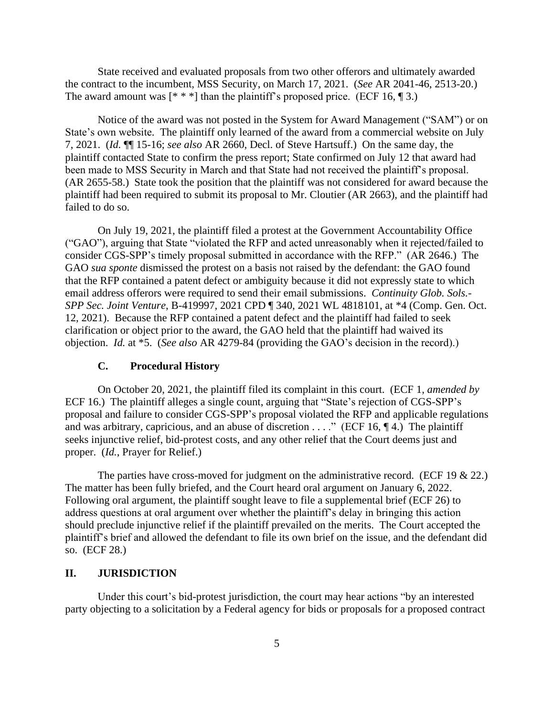State received and evaluated proposals from two other offerors and ultimately awarded the contract to the incumbent, MSS Security, on March 17, 2021. (*See* AR 2041-46, 2513-20.) The award amount was  $[$ \* \* \*] than the plaintiff's proposed price. (ECF 16, ¶ 3.)

Notice of the award was not posted in the System for Award Management ("SAM") or on State's own website. The plaintiff only learned of the award from a commercial website on July 7, 2021. (*Id.* ¶¶ 15-16; *see also* AR 2660, Decl. of Steve Hartsuff.) On the same day, the plaintiff contacted State to confirm the press report; State confirmed on July 12 that award had been made to MSS Security in March and that State had not received the plaintiff's proposal. (AR 2655-58.) State took the position that the plaintiff was not considered for award because the plaintiff had been required to submit its proposal to Mr. Cloutier (AR 2663), and the plaintiff had failed to do so.

On July 19, 2021, the plaintiff filed a protest at the Government Accountability Office ("GAO"), arguing that State "violated the RFP and acted unreasonably when it rejected/failed to consider CGS-SPP's timely proposal submitted in accordance with the RFP." (AR 2646.) The GAO *sua sponte* dismissed the protest on a basis not raised by the defendant: the GAO found that the RFP contained a patent defect or ambiguity because it did not expressly state to which email address offerors were required to send their email submissions. *Continuity Glob. Sols.- SPP Sec. Joint Venture*, B-419997, 2021 CPD ¶ 340, 2021 WL 4818101, at \*4 (Comp. Gen. Oct. 12, 2021). Because the RFP contained a patent defect and the plaintiff had failed to seek clarification or object prior to the award, the GAO held that the plaintiff had waived its objection. *Id.* at \*5. (*See also* AR 4279-84 (providing the GAO's decision in the record).)

#### **C. Procedural History**

On October 20, 2021, the plaintiff filed its complaint in this court. (ECF 1, *amended by*  ECF 16.) The plaintiff alleges a single count, arguing that "State's rejection of CGS-SPP's proposal and failure to consider CGS-SPP's proposal violated the RFP and applicable regulations and was arbitrary, capricious, and an abuse of discretion  $\dots$ ." (ECF 16, ¶4.) The plaintiff seeks injunctive relief, bid-protest costs, and any other relief that the Court deems just and proper. (*Id.*, Prayer for Relief.)

The parties have cross-moved for judgment on the administrative record. (ECF 19 & 22.) The matter has been fully briefed, and the Court heard oral argument on January 6, 2022. Following oral argument, the plaintiff sought leave to file a supplemental brief (ECF 26) to address questions at oral argument over whether the plaintiff's delay in bringing this action should preclude injunctive relief if the plaintiff prevailed on the merits. The Court accepted the plaintiff's brief and allowed the defendant to file its own brief on the issue, and the defendant did so. (ECF 28.)

# **II. JURISDICTION**

Under this court's bid-protest jurisdiction, the court may hear actions "by an interested party objecting to a solicitation by a Federal agency for bids or proposals for a proposed contract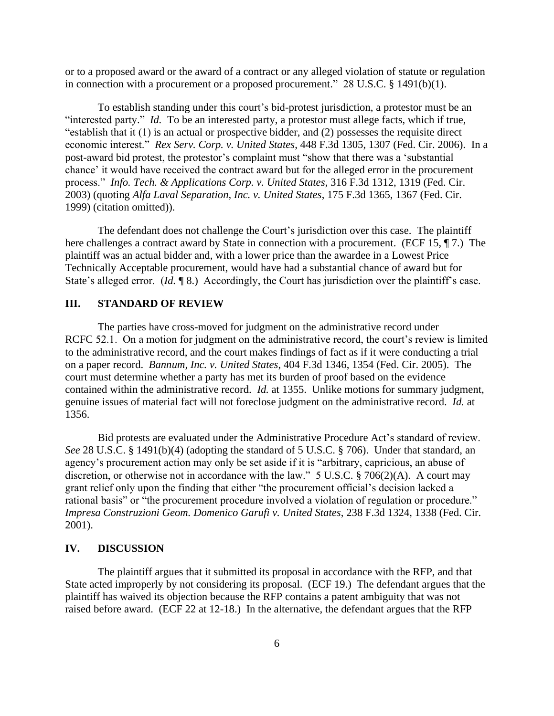or to a proposed award or the award of a contract or any alleged violation of statute or regulation in connection with a procurement or a proposed procurement." 28 U.S.C. § 1491(b)(1).

To establish standing under this court's bid-protest jurisdiction, a protestor must be an "interested party." *Id.* To be an interested party, a protestor must allege facts, which if true, "establish that it (1) is an actual or prospective bidder, and (2) possesses the requisite direct economic interest." *Rex Serv. Corp. v. United States*, 448 F.3d 1305, 1307 (Fed. Cir. 2006). In a post-award bid protest, the protestor's complaint must "show that there was a 'substantial chance' it would have received the contract award but for the alleged error in the procurement process." *Info. Tech. & Applications Corp. v. United States*, 316 F.3d 1312, 1319 (Fed. Cir. 2003) (quoting *Alfa Laval Separation, Inc. v. United States*, 175 F.3d 1365, 1367 (Fed. Cir. 1999) (citation omitted)).

The defendant does not challenge the Court's jurisdiction over this case. The plaintiff here challenges a contract award by State in connection with a procurement. (ECF 15, 17.) The plaintiff was an actual bidder and, with a lower price than the awardee in a Lowest Price Technically Acceptable procurement, would have had a substantial chance of award but for State's alleged error. (*Id.* 18.) Accordingly, the Court has jurisdiction over the plaintiff's case.

# **III. STANDARD OF REVIEW**

The parties have cross-moved for judgment on the administrative record under RCFC 52.1. On a motion for judgment on the administrative record, the court's review is limited to the administrative record, and the court makes findings of fact as if it were conducting a trial on a paper record. *Bannum, Inc. v. United States*, 404 F.3d 1346, 1354 (Fed. Cir. 2005). The court must determine whether a party has met its burden of proof based on the evidence contained within the administrative record. *Id.* at 1355. Unlike motions for summary judgment, genuine issues of material fact will not foreclose judgment on the administrative record. *Id.* at 1356.

Bid protests are evaluated under the Administrative Procedure Act's standard of review. *See* 28 U.S.C. § 1491(b)(4) (adopting the standard of 5 U.S.C. § 706). Under that standard, an agency's procurement action may only be set aside if it is "arbitrary, capricious, an abuse of discretion, or otherwise not in accordance with the law." 5 U.S.C. § 706(2)(A). A court may grant relief only upon the finding that either "the procurement official's decision lacked a rational basis" or "the procurement procedure involved a violation of regulation or procedure." *Impresa Construzioni Geom. Domenico Garufi v. United States*, 238 F.3d 1324, 1338 (Fed. Cir. 2001).

# **IV. DISCUSSION**

The plaintiff argues that it submitted its proposal in accordance with the RFP, and that State acted improperly by not considering its proposal. (ECF 19.) The defendant argues that the plaintiff has waived its objection because the RFP contains a patent ambiguity that was not raised before award. (ECF 22 at 12-18.) In the alternative, the defendant argues that the RFP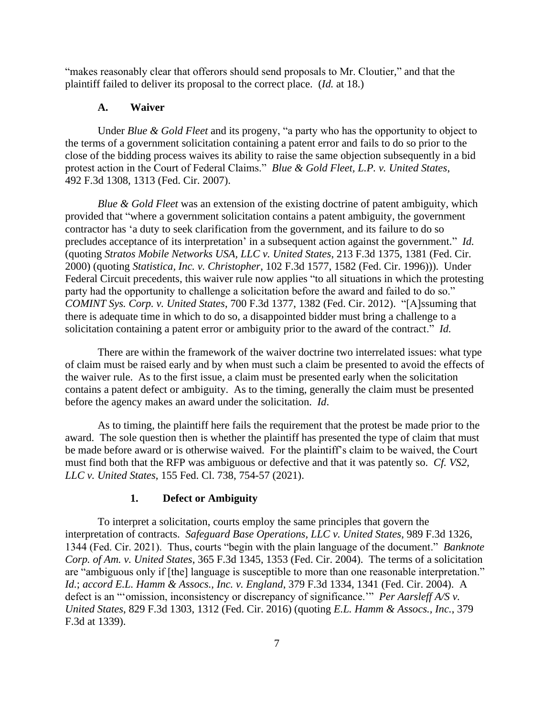"makes reasonably clear that offerors should send proposals to Mr. Cloutier," and that the plaintiff failed to deliver its proposal to the correct place. (*Id.* at 18.)

### **A. Waiver**

Under *Blue & Gold Fleet* and its progeny, "a party who has the opportunity to object to the terms of a government solicitation containing a patent error and fails to do so prior to the close of the bidding process waives its ability to raise the same objection subsequently in a bid protest action in the Court of Federal Claims." *Blue & Gold Fleet, L.P. v. United States*, 492 F.3d 1308, 1313 (Fed. Cir. 2007).

*Blue & Gold Fleet* was an extension of the existing doctrine of patent ambiguity, which provided that "where a government solicitation contains a patent ambiguity, the government contractor has 'a duty to seek clarification from the government, and its failure to do so precludes acceptance of its interpretation' in a subsequent action against the government." *Id.* (quoting *Stratos Mobile Networks USA, LLC v. United States*, 213 F.3d 1375, 1381 (Fed. Cir. 2000) (quoting *Statistica, Inc. v. Christopher*, 102 F.3d 1577, 1582 (Fed. Cir. 1996))). Under Federal Circuit precedents, this waiver rule now applies "to all situations in which the protesting party had the opportunity to challenge a solicitation before the award and failed to do so." *COMINT Sys. Corp. v. United States*, 700 F.3d 1377, 1382 (Fed. Cir. 2012). "[A]ssuming that there is adequate time in which to do so, a disappointed bidder must bring a challenge to a solicitation containing a patent error or ambiguity prior to the award of the contract." *Id.*

There are within the framework of the waiver doctrine two interrelated issues: what type of claim must be raised early and by when must such a claim be presented to avoid the effects of the waiver rule. As to the first issue, a claim must be presented early when the solicitation contains a patent defect or ambiguity. As to the timing, generally the claim must be presented before the agency makes an award under the solicitation. *Id*.

As to timing, the plaintiff here fails the requirement that the protest be made prior to the award. The sole question then is whether the plaintiff has presented the type of claim that must be made before award or is otherwise waived. For the plaintiff's claim to be waived, the Court must find both that the RFP was ambiguous or defective and that it was patently so. *Cf. VS2, LLC v. United States*, 155 Fed. Cl. 738, 754-57 (2021).

## **1. Defect or Ambiguity**

To interpret a solicitation, courts employ the same principles that govern the interpretation of contracts. *Safeguard Base Operations, LLC v. United States*, 989 F.3d 1326, 1344 (Fed. Cir. 2021). Thus, courts "begin with the plain language of the document." *Banknote Corp. of Am. v. United States*, 365 F.3d 1345, 1353 (Fed. Cir. 2004). The terms of a solicitation are "ambiguous only if [the] language is susceptible to more than one reasonable interpretation." *Id.*; *accord E.L. Hamm & Assocs., Inc. v. England*, 379 F.3d 1334, 1341 (Fed. Cir. 2004). A defect is an "'omission, inconsistency or discrepancy of significance.'" *Per Aarsleff A/S v. United States*, 829 F.3d 1303, 1312 (Fed. Cir. 2016) (quoting *E.L. Hamm & Assocs., Inc.*, 379 F.3d at 1339).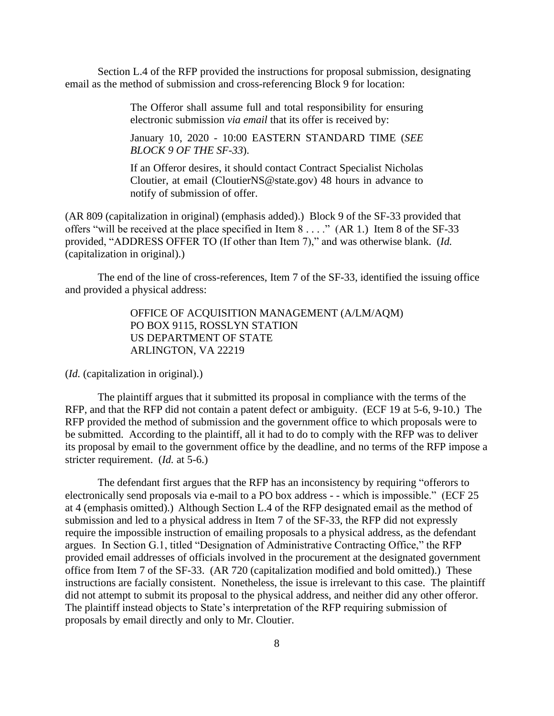Section L.4 of the RFP provided the instructions for proposal submission, designating email as the method of submission and cross-referencing Block 9 for location:

> The Offeror shall assume full and total responsibility for ensuring electronic submission *via email* that its offer is received by:

> January 10, 2020 - 10:00 EASTERN STANDARD TIME (*SEE BLOCK 9 OF THE SF-33*).

> If an Offeror desires, it should contact Contract Specialist Nicholas Cloutier, at email (CloutierNS@state.gov) 48 hours in advance to notify of submission of offer.

(AR 809 (capitalization in original) (emphasis added).) Block 9 of the SF-33 provided that offers "will be received at the place specified in Item 8 . . . ." (AR 1.) Item 8 of the SF-33 provided, "ADDRESS OFFER TO (If other than Item 7)," and was otherwise blank. (*Id.* (capitalization in original).)

The end of the line of cross-references, Item 7 of the SF-33, identified the issuing office and provided a physical address:

> OFFICE OF ACQUISITION MANAGEMENT (A/LM/AQM) PO BOX 9115, ROSSLYN STATION US DEPARTMENT OF STATE ARLINGTON, VA 22219

(*Id.* (capitalization in original).)

The plaintiff argues that it submitted its proposal in compliance with the terms of the RFP, and that the RFP did not contain a patent defect or ambiguity. (ECF 19 at 5-6, 9-10.) The RFP provided the method of submission and the government office to which proposals were to be submitted. According to the plaintiff, all it had to do to comply with the RFP was to deliver its proposal by email to the government office by the deadline, and no terms of the RFP impose a stricter requirement. (*Id.* at 5-6.)

The defendant first argues that the RFP has an inconsistency by requiring "offerors to electronically send proposals via e-mail to a PO box address - - which is impossible." (ECF 25 at 4 (emphasis omitted).) Although Section L.4 of the RFP designated email as the method of submission and led to a physical address in Item 7 of the SF-33, the RFP did not expressly require the impossible instruction of emailing proposals to a physical address, as the defendant argues. In Section G.1, titled "Designation of Administrative Contracting Office," the RFP provided email addresses of officials involved in the procurement at the designated government office from Item 7 of the SF-33. (AR 720 (capitalization modified and bold omitted).) These instructions are facially consistent. Nonetheless, the issue is irrelevant to this case. The plaintiff did not attempt to submit its proposal to the physical address, and neither did any other offeror. The plaintiff instead objects to State's interpretation of the RFP requiring submission of proposals by email directly and only to Mr. Cloutier.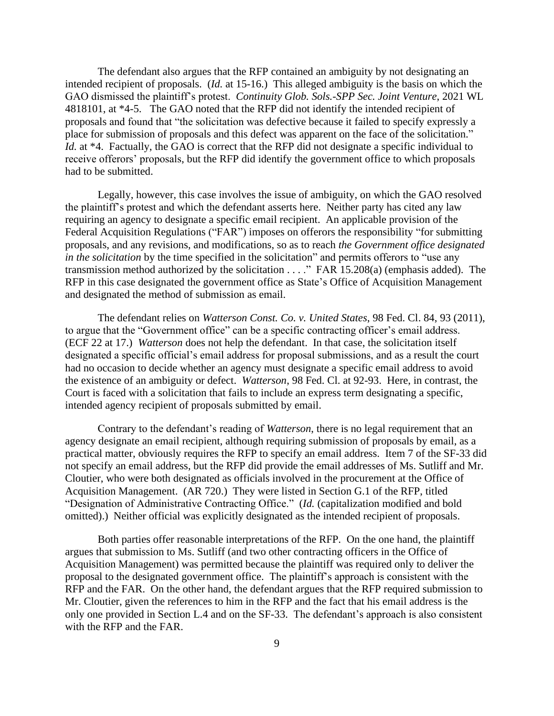The defendant also argues that the RFP contained an ambiguity by not designating an intended recipient of proposals. (*Id.* at 15-16.) This alleged ambiguity is the basis on which the GAO dismissed the plaintiff's protest. *Continuity Glob. Sols.-SPP Sec. Joint Venture*, 2021 WL 4818101, at \*4-5. The GAO noted that the RFP did not identify the intended recipient of proposals and found that "the solicitation was defective because it failed to specify expressly a place for submission of proposals and this defect was apparent on the face of the solicitation." *Id.* at \*4. Factually, the GAO is correct that the RFP did not designate a specific individual to receive offerors' proposals, but the RFP did identify the government office to which proposals had to be submitted.

Legally, however, this case involves the issue of ambiguity, on which the GAO resolved the plaintiff's protest and which the defendant asserts here. Neither party has cited any law requiring an agency to designate a specific email recipient. An applicable provision of the Federal Acquisition Regulations ("FAR") imposes on offerors the responsibility "for submitting proposals, and any revisions, and modifications, so as to reach *the Government office designated in the solicitation* by the time specified in the solicitation" and permits offerors to "use any transmission method authorized by the solicitation . . . ." FAR 15.208(a) (emphasis added). The RFP in this case designated the government office as State's Office of Acquisition Management and designated the method of submission as email.

The defendant relies on *Watterson Const. Co. v. United States*, 98 Fed. Cl. 84, 93 (2011), to argue that the "Government office" can be a specific contracting officer's email address. (ECF 22 at 17.) *Watterson* does not help the defendant. In that case, the solicitation itself designated a specific official's email address for proposal submissions, and as a result the court had no occasion to decide whether an agency must designate a specific email address to avoid the existence of an ambiguity or defect. *Watterson*, 98 Fed. Cl. at 92-93. Here, in contrast, the Court is faced with a solicitation that fails to include an express term designating a specific, intended agency recipient of proposals submitted by email.

Contrary to the defendant's reading of *Watterson*, there is no legal requirement that an agency designate an email recipient, although requiring submission of proposals by email, as a practical matter, obviously requires the RFP to specify an email address. Item 7 of the SF-33 did not specify an email address, but the RFP did provide the email addresses of Ms. Sutliff and Mr. Cloutier, who were both designated as officials involved in the procurement at the Office of Acquisition Management. (AR 720.) They were listed in Section G.1 of the RFP, titled "Designation of Administrative Contracting Office." (*Id.* (capitalization modified and bold omitted).) Neither official was explicitly designated as the intended recipient of proposals.

Both parties offer reasonable interpretations of the RFP. On the one hand, the plaintiff argues that submission to Ms. Sutliff (and two other contracting officers in the Office of Acquisition Management) was permitted because the plaintiff was required only to deliver the proposal to the designated government office. The plaintiff's approach is consistent with the RFP and the FAR. On the other hand, the defendant argues that the RFP required submission to Mr. Cloutier, given the references to him in the RFP and the fact that his email address is the only one provided in Section L.4 and on the SF-33. The defendant's approach is also consistent with the RFP and the FAR.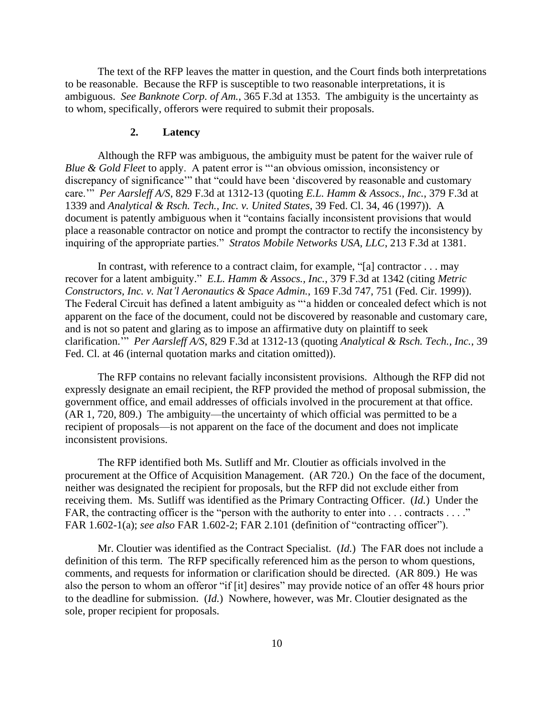The text of the RFP leaves the matter in question, and the Court finds both interpretations to be reasonable. Because the RFP is susceptible to two reasonable interpretations, it is ambiguous. *See Banknote Corp. of Am.*, 365 F.3d at 1353. The ambiguity is the uncertainty as to whom, specifically, offerors were required to submit their proposals.

#### **2. Latency**

Although the RFP was ambiguous, the ambiguity must be patent for the waiver rule of *Blue & Gold Fleet* to apply. A patent error is "'an obvious omission, inconsistency or discrepancy of significance'" that "could have been 'discovered by reasonable and customary care.'" *Per Aarsleff A/S*, 829 F.3d at 1312-13 (quoting *E.L. Hamm & Assocs., Inc.*, 379 F.3d at 1339 and *Analytical & Rsch. Tech., Inc. v. United States*, 39 Fed. Cl. 34, 46 (1997)). A document is patently ambiguous when it "contains facially inconsistent provisions that would place a reasonable contractor on notice and prompt the contractor to rectify the inconsistency by inquiring of the appropriate parties." *Stratos Mobile Networks USA, LLC*, 213 F.3d at 1381.

In contrast, with reference to a contract claim, for example, "[a] contractor . . . may recover for a latent ambiguity." *E.L. Hamm & Assocs., Inc.*, 379 F.3d at 1342 (citing *Metric Constructors, Inc. v. Nat'l Aeronautics & Space Admin.*, 169 F.3d 747, 751 (Fed. Cir. 1999)). The Federal Circuit has defined a latent ambiguity as "'a hidden or concealed defect which is not apparent on the face of the document, could not be discovered by reasonable and customary care, and is not so patent and glaring as to impose an affirmative duty on plaintiff to seek clarification.'" *Per Aarsleff A/S*, 829 F.3d at 1312-13 (quoting *Analytical & Rsch. Tech., Inc.*, 39 Fed. Cl. at 46 (internal quotation marks and citation omitted)).

The RFP contains no relevant facially inconsistent provisions. Although the RFP did not expressly designate an email recipient, the RFP provided the method of proposal submission, the government office, and email addresses of officials involved in the procurement at that office. (AR 1, 720, 809.) The ambiguity—the uncertainty of which official was permitted to be a recipient of proposals—is not apparent on the face of the document and does not implicate inconsistent provisions.

The RFP identified both Ms. Sutliff and Mr. Cloutier as officials involved in the procurement at the Office of Acquisition Management. (AR 720.) On the face of the document, neither was designated the recipient for proposals, but the RFP did not exclude either from receiving them. Ms. Sutliff was identified as the Primary Contracting Officer. (*Id.*) Under the FAR, the contracting officer is the "person with the authority to enter into ... contracts ...." FAR 1.602-1(a); *see also* FAR 1.602-2; FAR 2.101 (definition of "contracting officer").

Mr. Cloutier was identified as the Contract Specialist. (*Id.*) The FAR does not include a definition of this term. The RFP specifically referenced him as the person to whom questions, comments, and requests for information or clarification should be directed. (AR 809.) He was also the person to whom an offeror "if [it] desires" may provide notice of an offer 48 hours prior to the deadline for submission. (*Id.*) Nowhere, however, was Mr. Cloutier designated as the sole, proper recipient for proposals.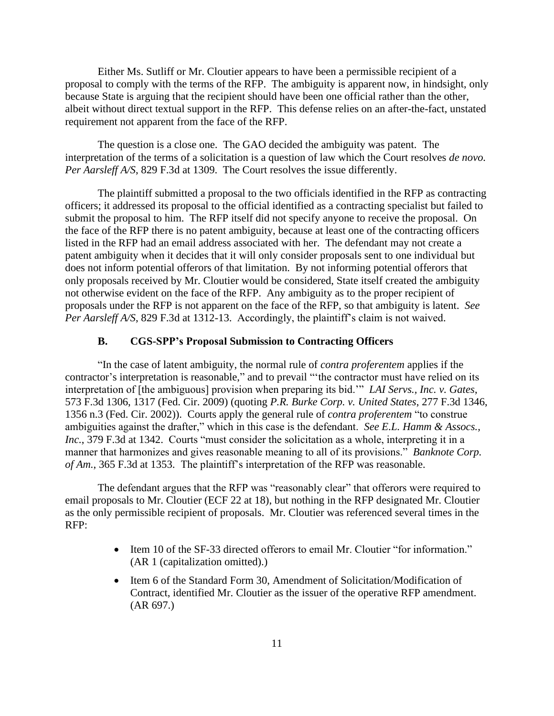Either Ms. Sutliff or Mr. Cloutier appears to have been a permissible recipient of a proposal to comply with the terms of the RFP. The ambiguity is apparent now, in hindsight, only because State is arguing that the recipient should have been one official rather than the other, albeit without direct textual support in the RFP. This defense relies on an after-the-fact, unstated requirement not apparent from the face of the RFP.

The question is a close one. The GAO decided the ambiguity was patent. The interpretation of the terms of a solicitation is a question of law which the Court resolves *de novo. Per Aarsleff A/S*, 829 F.3d at 1309. The Court resolves the issue differently.

The plaintiff submitted a proposal to the two officials identified in the RFP as contracting officers; it addressed its proposal to the official identified as a contracting specialist but failed to submit the proposal to him. The RFP itself did not specify anyone to receive the proposal. On the face of the RFP there is no patent ambiguity, because at least one of the contracting officers listed in the RFP had an email address associated with her. The defendant may not create a patent ambiguity when it decides that it will only consider proposals sent to one individual but does not inform potential offerors of that limitation. By not informing potential offerors that only proposals received by Mr. Cloutier would be considered, State itself created the ambiguity not otherwise evident on the face of the RFP. Any ambiguity as to the proper recipient of proposals under the RFP is not apparent on the face of the RFP, so that ambiguity is latent. *See Per Aarsleff A/S*, 829 F.3d at 1312-13. Accordingly, the plaintiff's claim is not waived.

#### **B. CGS-SPP's Proposal Submission to Contracting Officers**

"In the case of latent ambiguity, the normal rule of *contra proferentem* applies if the contractor's interpretation is reasonable," and to prevail "'the contractor must have relied on its interpretation of [the ambiguous] provision when preparing its bid.'" *LAI Servs., Inc. v. Gates*, 573 F.3d 1306, 1317 (Fed. Cir. 2009) (quoting *P.R. Burke Corp. v. United States*, 277 F.3d 1346, 1356 n.3 (Fed. Cir. 2002)). Courts apply the general rule of *contra proferentem* "to construe ambiguities against the drafter," which in this case is the defendant. *See E.L. Hamm & Assocs., Inc.*, 379 F.3d at 1342. Courts "must consider the solicitation as a whole, interpreting it in a manner that harmonizes and gives reasonable meaning to all of its provisions." *Banknote Corp. of Am.*, 365 F.3d at 1353. The plaintiff's interpretation of the RFP was reasonable.

The defendant argues that the RFP was "reasonably clear" that offerors were required to email proposals to Mr. Cloutier (ECF 22 at 18), but nothing in the RFP designated Mr. Cloutier as the only permissible recipient of proposals. Mr. Cloutier was referenced several times in the RFP:

- Item 10 of the SF-33 directed offerors to email Mr. Cloutier "for information." (AR 1 (capitalization omitted).)
- Item 6 of the Standard Form 30, Amendment of Solicitation/Modification of Contract, identified Mr. Cloutier as the issuer of the operative RFP amendment. (AR 697.)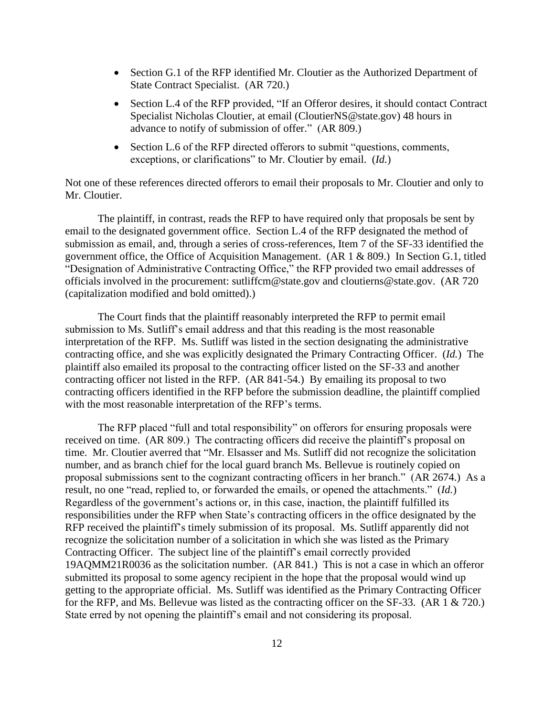- Section G.1 of the RFP identified Mr. Cloutier as the Authorized Department of State Contract Specialist. (AR 720.)
- Section L.4 of the RFP provided, "If an Offeror desires, it should contact Contract Specialist Nicholas Cloutier, at email (CloutierNS@state.gov) 48 hours in advance to notify of submission of offer." (AR 809.)
- Section L.6 of the RFP directed offerors to submit "questions, comments, exceptions, or clarifications" to Mr. Cloutier by email. (*Id.*)

Not one of these references directed offerors to email their proposals to Mr. Cloutier and only to Mr. Cloutier.

The plaintiff, in contrast, reads the RFP to have required only that proposals be sent by email to the designated government office. Section L.4 of the RFP designated the method of submission as email, and, through a series of cross-references, Item 7 of the SF-33 identified the government office, the Office of Acquisition Management. (AR 1 & 809.) In Section G.1, titled "Designation of Administrative Contracting Office," the RFP provided two email addresses of officials involved in the procurement: sutliffcm@state.gov and cloutierns@state.gov. (AR 720 (capitalization modified and bold omitted).)

The Court finds that the plaintiff reasonably interpreted the RFP to permit email submission to Ms. Sutliff's email address and that this reading is the most reasonable interpretation of the RFP. Ms. Sutliff was listed in the section designating the administrative contracting office, and she was explicitly designated the Primary Contracting Officer. (*Id.*) The plaintiff also emailed its proposal to the contracting officer listed on the SF-33 and another contracting officer not listed in the RFP. (AR 841-54.) By emailing its proposal to two contracting officers identified in the RFP before the submission deadline, the plaintiff complied with the most reasonable interpretation of the RFP's terms.

The RFP placed "full and total responsibility" on offerors for ensuring proposals were received on time. (AR 809.) The contracting officers did receive the plaintiff's proposal on time. Mr. Cloutier averred that "Mr. Elsasser and Ms. Sutliff did not recognize the solicitation number, and as branch chief for the local guard branch Ms. Bellevue is routinely copied on proposal submissions sent to the cognizant contracting officers in her branch." (AR 2674.) As a result, no one "read, replied to, or forwarded the emails, or opened the attachments." (*Id.*) Regardless of the government's actions or, in this case, inaction, the plaintiff fulfilled its responsibilities under the RFP when State's contracting officers in the office designated by the RFP received the plaintiff's timely submission of its proposal. Ms. Sutliff apparently did not recognize the solicitation number of a solicitation in which she was listed as the Primary Contracting Officer. The subject line of the plaintiff's email correctly provided 19AQMM21R0036 as the solicitation number. (AR 841.) This is not a case in which an offeror submitted its proposal to some agency recipient in the hope that the proposal would wind up getting to the appropriate official. Ms. Sutliff was identified as the Primary Contracting Officer for the RFP, and Ms. Bellevue was listed as the contracting officer on the SF-33. (AR 1 & 720.) State erred by not opening the plaintiff's email and not considering its proposal.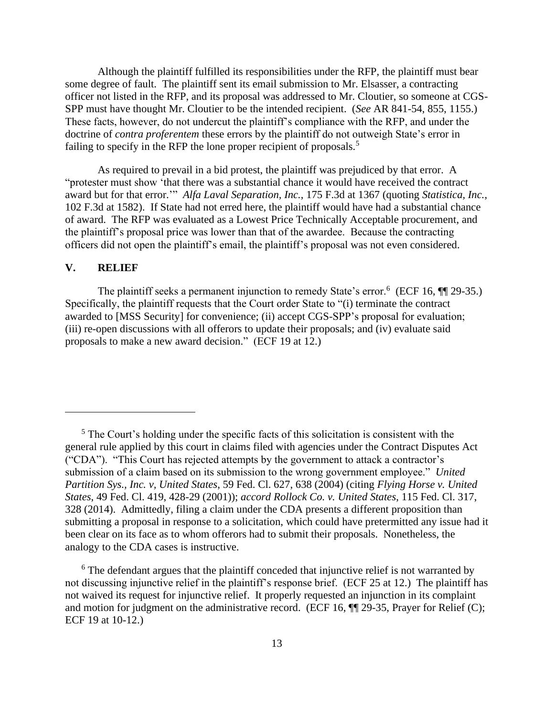Although the plaintiff fulfilled its responsibilities under the RFP, the plaintiff must bear some degree of fault. The plaintiff sent its email submission to Mr. Elsasser, a contracting officer not listed in the RFP, and its proposal was addressed to Mr. Cloutier, so someone at CGS-SPP must have thought Mr. Cloutier to be the intended recipient. (*See* AR 841-54, 855, 1155.) These facts, however, do not undercut the plaintiff's compliance with the RFP, and under the doctrine of *contra proferentem* these errors by the plaintiff do not outweigh State's error in failing to specify in the RFP the lone proper recipient of proposals.<sup>5</sup>

As required to prevail in a bid protest, the plaintiff was prejudiced by that error. A "protester must show 'that there was a substantial chance it would have received the contract award but for that error.'" *Alfa Laval Separation, Inc.*, 175 F.3d at 1367 (quoting *Statistica, Inc.*, 102 F.3d at 1582). If State had not erred here, the plaintiff would have had a substantial chance of award. The RFP was evaluated as a Lowest Price Technically Acceptable procurement, and the plaintiff's proposal price was lower than that of the awardee. Because the contracting officers did not open the plaintiff's email, the plaintiff's proposal was not even considered.

# **V. RELIEF**

The plaintiff seeks a permanent injunction to remedy State's error.<sup>6</sup> (ECF 16, ¶ 29-35.) Specifically, the plaintiff requests that the Court order State to "(i) terminate the contract awarded to [MSS Security] for convenience; (ii) accept CGS-SPP's proposal for evaluation; (iii) re-open discussions with all offerors to update their proposals; and (iv) evaluate said proposals to make a new award decision." (ECF 19 at 12.)

 $<sup>5</sup>$  The Court's holding under the specific facts of this solicitation is consistent with the</sup> general rule applied by this court in claims filed with agencies under the Contract Disputes Act ("CDA"). "This Court has rejected attempts by the government to attack a contractor's submission of a claim based on its submission to the wrong government employee." *United Partition Sys., Inc. v, United States*, 59 Fed. Cl. 627, 638 (2004) (citing *Flying Horse v. United States*, 49 Fed. Cl. 419, 428-29 (2001)); *accord Rollock Co. v. United States*, 115 Fed. Cl. 317, 328 (2014). Admittedly, filing a claim under the CDA presents a different proposition than submitting a proposal in response to a solicitation, which could have pretermitted any issue had it been clear on its face as to whom offerors had to submit their proposals. Nonetheless, the analogy to the CDA cases is instructive.

<sup>&</sup>lt;sup>6</sup> The defendant argues that the plaintiff conceded that injunctive relief is not warranted by not discussing injunctive relief in the plaintiff's response brief. (ECF 25 at 12.) The plaintiff has not waived its request for injunctive relief. It properly requested an injunction in its complaint and motion for judgment on the administrative record. (ECF 16,  $\P$ ] 29-35, Prayer for Relief (C); ECF 19 at 10-12.)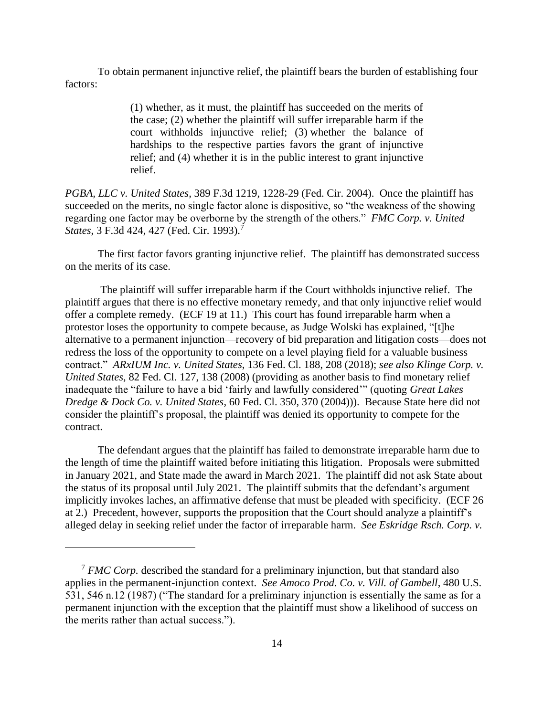To obtain permanent injunctive relief, the plaintiff bears the burden of establishing four factors:

> (1) whether, as it must, the plaintiff has succeeded on the merits of the case; (2) whether the plaintiff will suffer irreparable harm if the court withholds injunctive relief; (3) whether the balance of hardships to the respective parties favors the grant of injunctive relief; and (4) whether it is in the public interest to grant injunctive relief.

*PGBA, LLC v. United States*, 389 F.3d 1219, 1228-29 (Fed. Cir. 2004). Once the plaintiff has succeeded on the merits, no single factor alone is dispositive, so "the weakness of the showing regarding one factor may be overborne by the strength of the others." *FMC Corp. v. United States*, 3 F.3d 424, 427 (Fed. Cir. 1993).<sup>7</sup>

The first factor favors granting injunctive relief. The plaintiff has demonstrated success on the merits of its case.

The plaintiff will suffer irreparable harm if the Court withholds injunctive relief. The plaintiff argues that there is no effective monetary remedy, and that only injunctive relief would offer a complete remedy. (ECF 19 at 11.) This court has found irreparable harm when a protestor loses the opportunity to compete because, as Judge Wolski has explained, "[t]he alternative to a permanent injunction—recovery of bid preparation and litigation costs—does not redress the loss of the opportunity to compete on a level playing field for a valuable business contract." *ARxIUM Inc. v. United States*, 136 Fed. Cl. 188, 208 (2018); *see also Klinge Corp. v. United States*, 82 Fed. Cl. 127, 138 (2008) (providing as another basis to find monetary relief inadequate the "failure to have a bid 'fairly and lawfully considered'" (quoting *Great Lakes Dredge & Dock Co. v. United States*, 60 Fed. Cl. 350, 370 (2004))). Because State here did not consider the plaintiff's proposal, the plaintiff was denied its opportunity to compete for the contract.

The defendant argues that the plaintiff has failed to demonstrate irreparable harm due to the length of time the plaintiff waited before initiating this litigation. Proposals were submitted in January 2021, and State made the award in March 2021. The plaintiff did not ask State about the status of its proposal until July 2021. The plaintiff submits that the defendant's argument implicitly invokes laches, an affirmative defense that must be pleaded with specificity. (ECF 26 at 2.) Precedent, however, supports the proposition that the Court should analyze a plaintiff's alleged delay in seeking relief under the factor of irreparable harm. *See Eskridge Rsch. Corp. v.* 

<sup>7</sup> *FMC Corp.* described the standard for a preliminary injunction, but that standard also applies in the permanent-injunction context. *See Amoco Prod. Co. v. Vill. of Gambell*, 480 U.S. 531, 546 n.12 (1987) ("The standard for a preliminary injunction is essentially the same as for a permanent injunction with the exception that the plaintiff must show a likelihood of success on the merits rather than actual success.").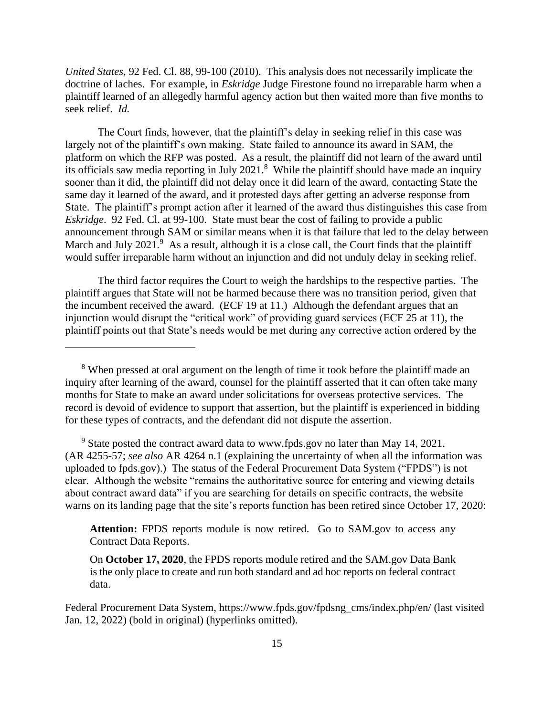*United States*, 92 Fed. Cl. 88, 99-100 (2010). This analysis does not necessarily implicate the doctrine of laches. For example, in *Eskridge* Judge Firestone found no irreparable harm when a plaintiff learned of an allegedly harmful agency action but then waited more than five months to seek relief. *Id.*

The Court finds, however, that the plaintiff's delay in seeking relief in this case was largely not of the plaintiff's own making. State failed to announce its award in SAM, the platform on which the RFP was posted. As a result, the plaintiff did not learn of the award until its officials saw media reporting in July 2021.<sup>8</sup> While the plaintiff should have made an inquiry sooner than it did, the plaintiff did not delay once it did learn of the award, contacting State the same day it learned of the award, and it protested days after getting an adverse response from State. The plaintiff's prompt action after it learned of the award thus distinguishes this case from *Eskridge*. 92 Fed. Cl. at 99-100. State must bear the cost of failing to provide a public announcement through SAM or similar means when it is that failure that led to the delay between March and July 2021.<sup>9</sup> As a result, although it is a close call, the Court finds that the plaintiff would suffer irreparable harm without an injunction and did not unduly delay in seeking relief.

The third factor requires the Court to weigh the hardships to the respective parties. The plaintiff argues that State will not be harmed because there was no transition period, given that the incumbent received the award. (ECF 19 at 11.) Although the defendant argues that an injunction would disrupt the "critical work" of providing guard services (ECF 25 at 11), the plaintiff points out that State's needs would be met during any corrective action ordered by the

<sup>9</sup> State posted the contract award data to www.fpds.gov no later than May 14, 2021. (AR 4255-57; *see also* AR 4264 n.1 (explaining the uncertainty of when all the information was uploaded to fpds.gov).) The status of the Federal Procurement Data System ("FPDS") is not clear. Although the website "remains the authoritative source for entering and viewing details about contract award data" if you are searching for details on specific contracts, the website warns on its landing page that the site's reports function has been retired since October 17, 2020:

**Attention:** FPDS reports module is now retired. Go to SAM.gov to access any Contract Data Reports.

On **October 17, 2020**, the FPDS reports module retired and the SAM.gov Data Bank is the only place to create and run both standard and ad hoc reports on federal contract data.

Federal Procurement Data System, https://www.fpds.gov/fpdsng\_cms/index.php/en/ (last visited Jan. 12, 2022) (bold in original) (hyperlinks omitted).

<sup>&</sup>lt;sup>8</sup> When pressed at oral argument on the length of time it took before the plaintiff made an inquiry after learning of the award, counsel for the plaintiff asserted that it can often take many months for State to make an award under solicitations for overseas protective services. The record is devoid of evidence to support that assertion, but the plaintiff is experienced in bidding for these types of contracts, and the defendant did not dispute the assertion.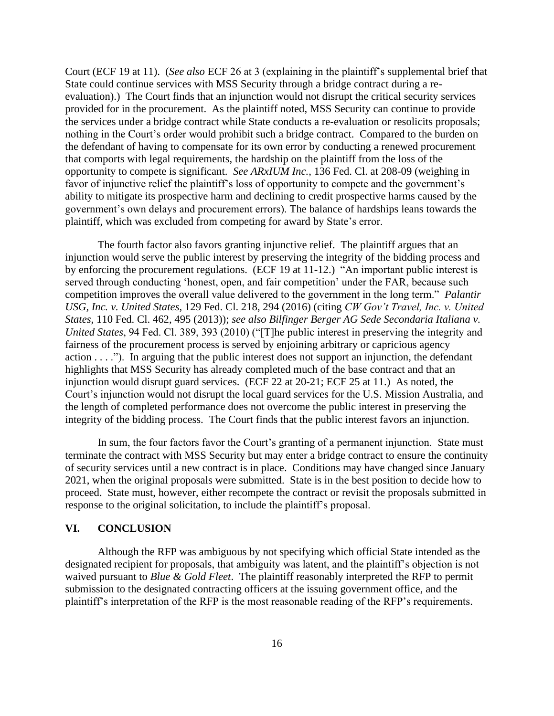Court (ECF 19 at 11). (*See also* ECF 26 at 3 (explaining in the plaintiff's supplemental brief that State could continue services with MSS Security through a bridge contract during a reevaluation).) The Court finds that an injunction would not disrupt the critical security services provided for in the procurement. As the plaintiff noted, MSS Security can continue to provide the services under a bridge contract while State conducts a re-evaluation or resolicits proposals; nothing in the Court's order would prohibit such a bridge contract. Compared to the burden on the defendant of having to compensate for its own error by conducting a renewed procurement that comports with legal requirements, the hardship on the plaintiff from the loss of the opportunity to compete is significant. *See ARxIUM Inc.*, 136 Fed. Cl. at 208-09 (weighing in favor of injunctive relief the plaintiff's loss of opportunity to compete and the government's ability to mitigate its prospective harm and declining to credit prospective harms caused by the government's own delays and procurement errors). The balance of hardships leans towards the plaintiff, which was excluded from competing for award by State's error.

The fourth factor also favors granting injunctive relief. The plaintiff argues that an injunction would serve the public interest by preserving the integrity of the bidding process and by enforcing the procurement regulations. (ECF 19 at 11-12.) "An important public interest is served through conducting 'honest, open, and fair competition' under the FAR, because such competition improves the overall value delivered to the government in the long term." *Palantir USG, Inc. v. United States*, 129 Fed. Cl. 218, 294 (2016) (citing *CW Gov't Travel, Inc. v. United States*, 110 Fed. Cl. 462, 495 (2013)); *see also Bilfinger Berger AG Sede Secondaria Italiana v. United States*, 94 Fed. Cl. 389, 393 (2010) ("[T]he public interest in preserving the integrity and fairness of the procurement process is served by enjoining arbitrary or capricious agency action  $\dots$ "). In arguing that the public interest does not support an injunction, the defendant highlights that MSS Security has already completed much of the base contract and that an injunction would disrupt guard services. (ECF 22 at 20-21; ECF 25 at 11.) As noted, the Court's injunction would not disrupt the local guard services for the U.S. Mission Australia, and the length of completed performance does not overcome the public interest in preserving the integrity of the bidding process. The Court finds that the public interest favors an injunction.

In sum, the four factors favor the Court's granting of a permanent injunction. State must terminate the contract with MSS Security but may enter a bridge contract to ensure the continuity of security services until a new contract is in place. Conditions may have changed since January 2021, when the original proposals were submitted. State is in the best position to decide how to proceed. State must, however, either recompete the contract or revisit the proposals submitted in response to the original solicitation, to include the plaintiff's proposal.

# **VI. CONCLUSION**

Although the RFP was ambiguous by not specifying which official State intended as the designated recipient for proposals, that ambiguity was latent, and the plaintiff's objection is not waived pursuant to *Blue & Gold Fleet*. The plaintiff reasonably interpreted the RFP to permit submission to the designated contracting officers at the issuing government office, and the plaintiff's interpretation of the RFP is the most reasonable reading of the RFP's requirements.